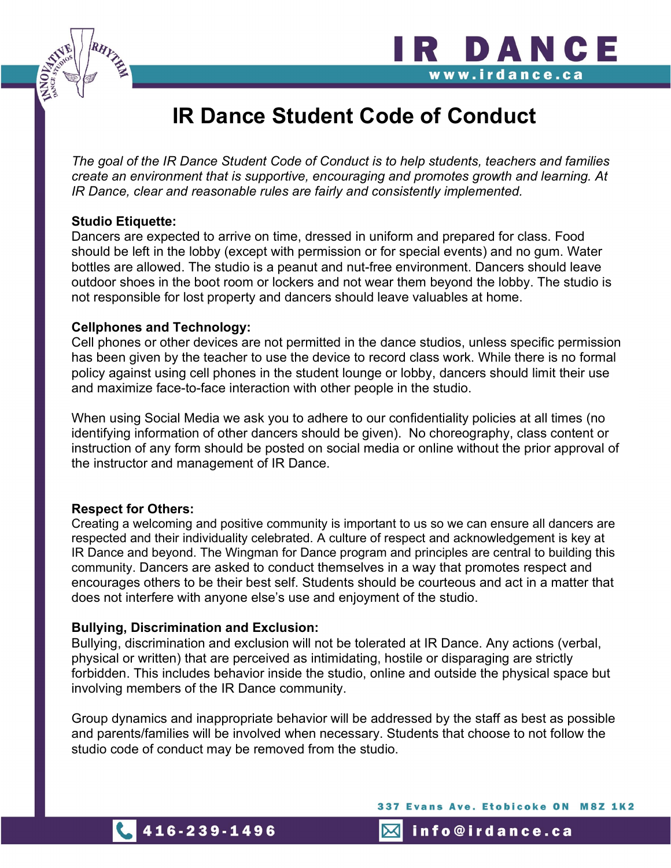

The goal of the IR Dance Student Code of Conduct is to help students, teachers and families create an environment that is supportive, encouraging and promotes growth and learning. At IR Dance, clear and reasonable rules are fairly and consistently implemented.

### Studio Etiquette:

Dancers are expected to arrive on time, dressed in uniform and prepared for class. Food should be left in the lobby (except with permission or for special events) and no gum. Water bottles are allowed. The studio is a peanut and nut-free environment. Dancers should leave outdoor shoes in the boot room or lockers and not wear them beyond the lobby. The studio is not responsible for lost property and dancers should leave valuables at home.

### Cellphones and Technology:

Cell phones or other devices are not permitted in the dance studios, unless specific permission has been given by the teacher to use the device to record class work. While there is no formal policy against using cell phones in the student lounge or lobby, dancers should limit their use and maximize face-to-face interaction with other people in the studio.

When using Social Media we ask you to adhere to our confidentiality policies at all times (no identifying information of other dancers should be given). No choreography, class content or instruction of any form should be posted on social media or online without the prior approval of the instructor and management of IR Dance.

### Respect for Others:

Creating a welcoming and positive community is important to us so we can ensure all dancers are respected and their individuality celebrated. A culture of respect and acknowledgement is key at IR Dance and beyond. The Wingman for Dance program and principles are central to building this community. Dancers are asked to conduct themselves in a way that promotes respect and encourages others to be their best self. Students should be courteous and act in a matter that does not interfere with anyone else's use and enjoyment of the studio.

## Bullying, Discrimination and Exclusion:

Bullying, discrimination and exclusion will not be tolerated at IR Dance. Any actions (verbal, physical or written) that are perceived as intimidating, hostile or disparaging are strictly forbidden. This includes behavior inside the studio, online and outside the physical space but involving members of the IR Dance community.

Group dynamics and inappropriate behavior will be addressed by the staff as best as possible and parents/families will be involved when necessary. Students that choose to not follow the studio code of conduct may be removed from the studio.

337 Evans Ave. Etobicoke ON M8Z 1K2

R DANCE

www.irdance.ca



 $\boxtimes$ info@irdance.ca